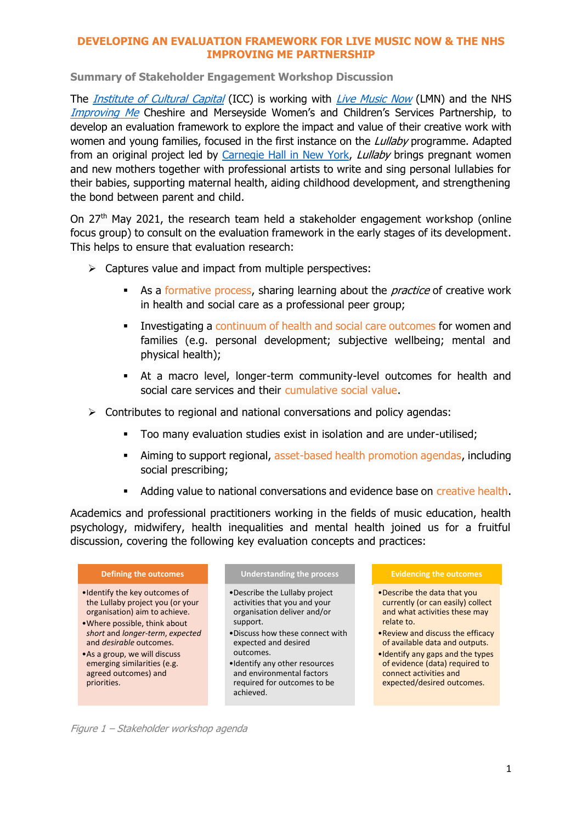### **DEVELOPING AN EVALUATION FRAMEWORK FOR LIVE MUSIC NOW & THE NHS IMPROVING ME PARTNERSHIP**

**Summary of Stakeholder Engagement Workshop Discussion**

The *[Institute of Cultural Capital](http://iccliverpool.ac.uk/)* (ICC) is working with *[Live Music Now](https://www.livemusicnow.org.uk/)* (LMN) and the NHS [Improving Me](https://www.improvingme.org.uk/) Cheshire and Merseyside Women's and Children's Services Partnership, to develop an evaluation framework to explore the impact and value of their creative work with women and young families, focused in the first instance on the *Lullaby* programme. Adapted from an original project led by [Carnegie Hall in New York,](https://www.carnegiehall.org/Education/Programs/Lullaby-Project) *Lullaby* brings pregnant women and new mothers together with professional artists to write and sing personal lullabies for their babies, supporting maternal health, aiding childhood development, and strengthening the bond between parent and child.

On 27th May 2021, the research team held a stakeholder engagement workshop (online focus group) to consult on the evaluation framework in the early stages of its development. This helps to ensure that evaluation research:

- $\triangleright$  Captures value and impact from multiple perspectives:
	- As a formative process, sharing learning about the *practice* of creative work in health and social care as a professional peer group;
	- Investigating a continuum of health and social care outcomes for women and families (e.g. personal development; subjective wellbeing; mental and physical health);
	- At a macro level, longer-term community-level outcomes for health and social care services and their cumulative social value.
- $\triangleright$  Contributes to regional and national conversations and policy agendas:
	- Too many evaluation studies exist in isolation and are under-utilised;
	- Aiming to support regional, asset-based health promotion agendas, including social prescribing;
	- **Adding value to national conversations and evidence base on creative health.**

Academics and professional practitioners working in the fields of music education, health psychology, midwifery, health inequalities and mental health joined us for a fruitful discussion, covering the following key evaluation concepts and practices:

#### **Defining the outcomes**

- •Identify the key outcomes of the Lullaby project you (or your organisation) aim to achieve.
- •Where possible, think about *short* and *longer-term*, *expected* and *desirable* outcomes.

•As a group, we will discuss emerging similarities (e.g. agreed outcomes) and priorities.

#### **Understanding the process**

- •Describe the Lullaby project activities that you and your organisation deliver and/or support.
- •Discuss how these connect with expected and desired outcomes.
- •Identify any other resources and environmental factors required for outcomes to be achieved.

#### **Evidencing the outcomes**

- •Describe the data that you currently (or can easily) collect and what activities these may relate to.
- •Review and discuss the efficacy of available data and outputs.
- •Identify any gaps and the types of evidence (data) required to connect activities and expected/desired outcomes.

Figure 1 – Stakeholder workshop agenda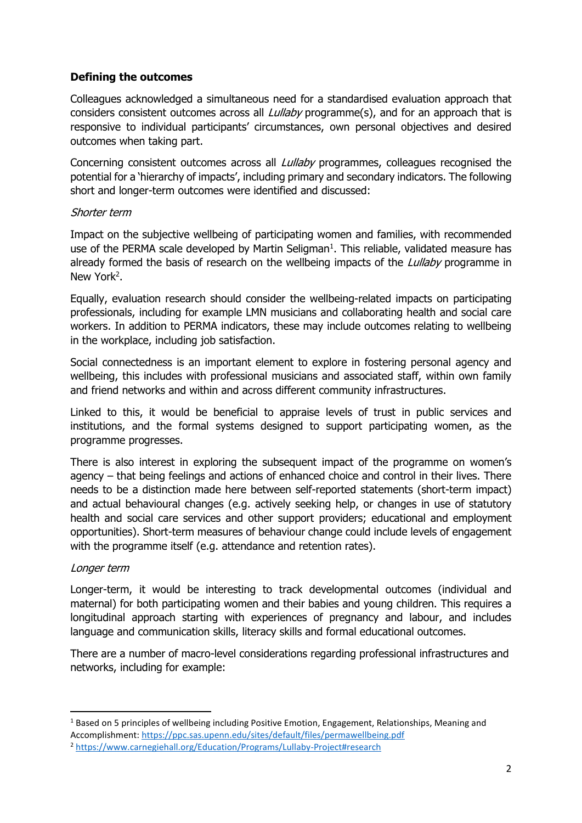# **Defining the outcomes**

Colleagues acknowledged a simultaneous need for a standardised evaluation approach that considers consistent outcomes across all *Lullaby* programme(s), and for an approach that is responsive to individual participants' circumstances, own personal objectives and desired outcomes when taking part.

Concerning consistent outcomes across all *Lullaby* programmes, colleagues recognised the potential for a 'hierarchy of impacts', including primary and secondary indicators. The following short and longer-term outcomes were identified and discussed:

## Shorter term

Impact on the subjective wellbeing of participating women and families, with recommended use of the PERMA scale developed by Martin Seligman $<sup>1</sup>$ . This reliable, validated measure has</sup> already formed the basis of research on the wellbeing impacts of the *Lullaby* programme in New York<sup>2</sup>.

Equally, evaluation research should consider the wellbeing-related impacts on participating professionals, including for example LMN musicians and collaborating health and social care workers. In addition to PERMA indicators, these may include outcomes relating to wellbeing in the workplace, including job satisfaction.

Social connectedness is an important element to explore in fostering personal agency and wellbeing, this includes with professional musicians and associated staff, within own family and friend networks and within and across different community infrastructures.

Linked to this, it would be beneficial to appraise levels of trust in public services and institutions, and the formal systems designed to support participating women, as the programme progresses.

There is also interest in exploring the subsequent impact of the programme on women's agency – that being feelings and actions of enhanced choice and control in their lives. There needs to be a distinction made here between self-reported statements (short-term impact) and actual behavioural changes (e.g. actively seeking help, or changes in use of statutory health and social care services and other support providers; educational and employment opportunities). Short-term measures of behaviour change could include levels of engagement with the programme itself (e.g. attendance and retention rates).

### Longer term

**.** 

Longer-term, it would be interesting to track developmental outcomes (individual and maternal) for both participating women and their babies and young children. This requires a longitudinal approach starting with experiences of pregnancy and labour, and includes language and communication skills, literacy skills and formal educational outcomes.

There are a number of macro-level considerations regarding professional infrastructures and networks, including for example:

 $1$  Based on 5 principles of wellbeing including Positive Emotion, Engagement, Relationships, Meaning and Accomplishment:<https://ppc.sas.upenn.edu/sites/default/files/permawellbeing.pdf>

<sup>2</sup> <https://www.carnegiehall.org/Education/Programs/Lullaby-Project#research>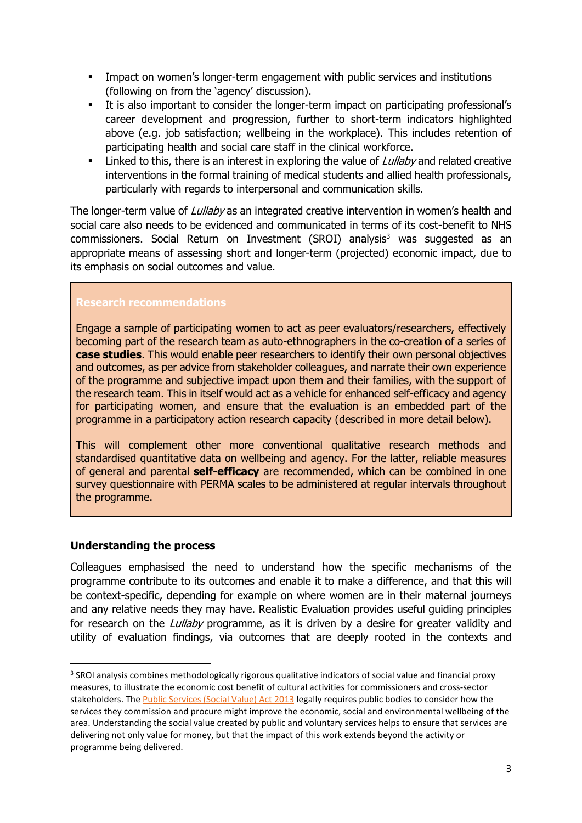- **IMPACT ON WOMER'S longer-term engagement with public services and institutions** (following on from the 'agency' discussion).
- It is also important to consider the longer-term impact on participating professional's career development and progression, further to short-term indicators highlighted above (e.g. job satisfaction; wellbeing in the workplace). This includes retention of participating health and social care staff in the clinical workforce.
- **EXECT** Linked to this, there is an interest in exploring the value of  $Lullaby$  and related creative interventions in the formal training of medical students and allied health professionals, particularly with regards to interpersonal and communication skills.

The longer-term value of *Lullaby* as an integrated creative intervention in women's health and social care also needs to be evidenced and communicated in terms of its cost-benefit to NHS commissioners. Social Return on Investment (SROI) analysis<sup>3</sup> was suggested as an appropriate means of assessing short and longer-term (projected) economic impact, due to its emphasis on social outcomes and value.

# **Research recommendations**

Engage a sample of participating women to act as peer evaluators/researchers, effectively becoming part of the research team as auto-ethnographers in the co-creation of a series of **case studies**. This would enable peer researchers to identify their own personal objectives and outcomes, as per advice from stakeholder colleagues, and narrate their own experience of the programme and subjective impact upon them and their families, with the support of the research team. This in itself would act as a vehicle for enhanced self-efficacy and agency for participating women, and ensure that the evaluation is an embedded part of the programme in a participatory action research capacity (described in more detail below).

This will complement other more conventional qualitative research methods and standardised quantitative data on wellbeing and agency. For the latter, reliable measures of general and parental **self-efficacy** are recommended, which can be combined in one survey questionnaire with PERMA scales to be administered at regular intervals throughout the programme.

## **Understanding the process**

**.** 

Colleagues emphasised the need to understand how the specific mechanisms of the programme contribute to its outcomes and enable it to make a difference, and that this will be context-specific, depending for example on where women are in their maternal journeys and any relative needs they may have. Realistic Evaluation provides useful guiding principles for research on the *Lullaby* programme, as it is driven by a desire for greater validity and utility of evaluation findings, via outcomes that are deeply rooted in the contexts and

<sup>&</sup>lt;sup>3</sup> SROI analysis combines methodologically rigorous qualitative indicators of social value and financial proxy measures, to illustrate the economic cost benefit of cultural activities for commissioners and cross-sector stakeholders. The [Public Services \(Social Value\) Act 2013](https://www.gov.uk/government/publications/social-value-act-information-and-resources/social-value-act-information-and-resources) legally requires public bodies to consider how the services they commission and procure might improve the economic, social and environmental wellbeing of the area. Understanding the social value created by public and voluntary services helps to ensure that services are delivering not only value for money, but that the impact of this work extends beyond the activity or programme being delivered.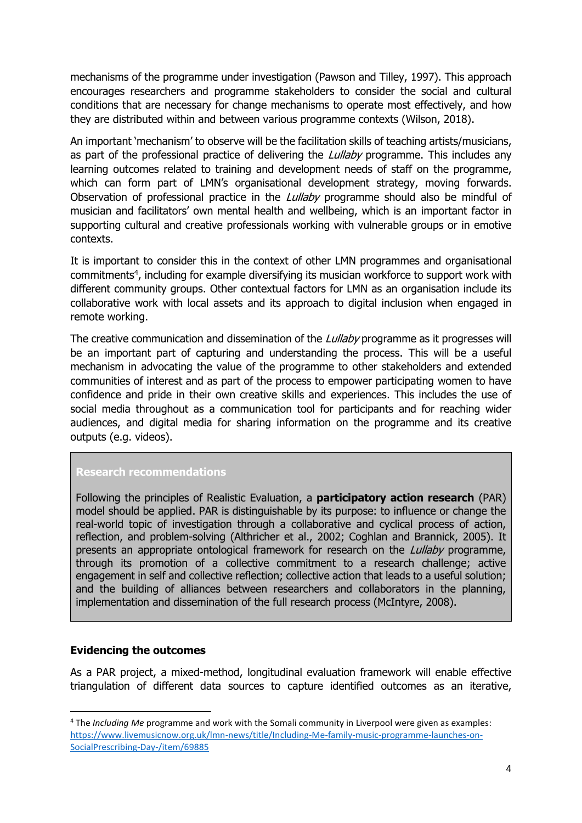mechanisms of the programme under investigation (Pawson and Tilley, 1997). This approach encourages researchers and programme stakeholders to consider the social and cultural conditions that are necessary for change mechanisms to operate most effectively, and how they are distributed within and between various programme contexts (Wilson, 2018).

An important 'mechanism' to observe will be the facilitation skills of teaching artists/musicians, as part of the professional practice of delivering the *Lullaby* programme. This includes any learning outcomes related to training and development needs of staff on the programme, which can form part of LMN's organisational development strategy, moving forwards. Observation of professional practice in the *Lullaby* programme should also be mindful of musician and facilitators' own mental health and wellbeing, which is an important factor in supporting cultural and creative professionals working with vulnerable groups or in emotive contexts.

It is important to consider this in the context of other LMN programmes and organisational commitments<sup>4</sup>, including for example diversifying its musician workforce to support work with different community groups. Other contextual factors for LMN as an organisation include its collaborative work with local assets and its approach to digital inclusion when engaged in remote working.

The creative communication and dissemination of the *Lullaby* programme as it progresses will be an important part of capturing and understanding the process. This will be a useful mechanism in advocating the value of the programme to other stakeholders and extended communities of interest and as part of the process to empower participating women to have confidence and pride in their own creative skills and experiences. This includes the use of social media throughout as a communication tool for participants and for reaching wider audiences, and digital media for sharing information on the programme and its creative outputs (e.g. videos).

## **Research recommendations**

Following the principles of Realistic Evaluation, a **participatory action research** (PAR) model should be applied. PAR is distinguishable by its purpose: to influence or change the real-world topic of investigation through a collaborative and cyclical process of action, reflection, and problem-solving (Althricher et al., 2002; Coghlan and Brannick, 2005). It presents an appropriate ontological framework for research on the *Lullaby* programme, through its promotion of a collective commitment to a research challenge; active engagement in self and collective reflection; collective action that leads to a useful solution; and the building of alliances between researchers and collaborators in the planning, implementation and dissemination of the full research process (McIntyre, 2008).

## **Evidencing the outcomes**

**.** 

As a PAR project, a mixed-method, longitudinal evaluation framework will enable effective triangulation of different data sources to capture identified outcomes as an iterative,

<sup>4</sup> The *Including Me* programme and work with the Somali community in Liverpool were given as examples: [https://www.livemusicnow.org.uk/lmn-news/title/Including-Me-family-music-programme-launches-on-](https://www.livemusicnow.org.uk/lmn-news/title/Including-Me-family-music-programme-launches-on-SocialPrescribing-Day-/item/69885)[SocialPrescribing-Day-/item/69885](https://www.livemusicnow.org.uk/lmn-news/title/Including-Me-family-music-programme-launches-on-SocialPrescribing-Day-/item/69885)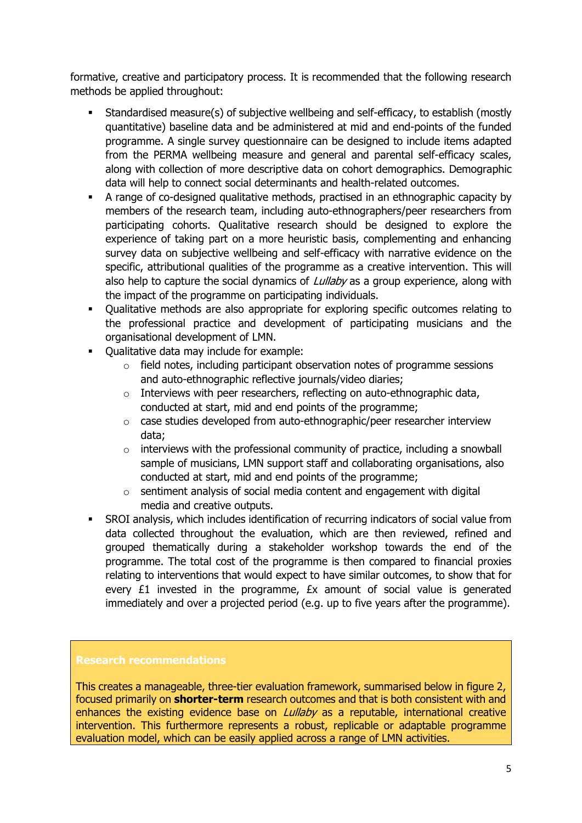formative, creative and participatory process. It is recommended that the following research methods be applied throughout:

- Standardised measure(s) of subjective wellbeing and self-efficacy, to establish (mostly quantitative) baseline data and be administered at mid and end-points of the funded programme. A single survey questionnaire can be designed to include items adapted from the PERMA wellbeing measure and general and parental self-efficacy scales, along with collection of more descriptive data on cohort demographics. Demographic data will help to connect social determinants and health-related outcomes.
- A range of co-designed qualitative methods, practised in an ethnographic capacity by members of the research team, including auto-ethnographers/peer researchers from participating cohorts. Qualitative research should be designed to explore the experience of taking part on a more heuristic basis, complementing and enhancing survey data on subjective wellbeing and self-efficacy with narrative evidence on the specific, attributional qualities of the programme as a creative intervention. This will also help to capture the social dynamics of *Lullaby* as a group experience, along with the impact of the programme on participating individuals.
- Qualitative methods are also appropriate for exploring specific outcomes relating to the professional practice and development of participating musicians and the organisational development of LMN.
- Qualitative data may include for example:
	- $\circ$  field notes, including participant observation notes of programme sessions and auto-ethnographic reflective journals/video diaries;
	- o Interviews with peer researchers, reflecting on auto-ethnographic data, conducted at start, mid and end points of the programme;
	- o case studies developed from auto-ethnographic/peer researcher interview data;
	- $\circ$  interviews with the professional community of practice, including a snowball sample of musicians, LMN support staff and collaborating organisations, also conducted at start, mid and end points of the programme;
	- $\circ$  sentiment analysis of social media content and engagement with digital media and creative outputs.
- SROI analysis, which includes identification of recurring indicators of social value from data collected throughout the evaluation, which are then reviewed, refined and grouped thematically during a stakeholder workshop towards the end of the programme. The total cost of the programme is then compared to financial proxies relating to interventions that would expect to have similar outcomes, to show that for every £1 invested in the programme, £x amount of social value is generated immediately and over a projected period (e.g. up to five years after the programme).

### **Research recommendations**

This creates a manageable, three-tier evaluation framework, summarised below in figure 2, focused primarily on **shorter-term** research outcomes and that is both consistent with and enhances the existing evidence base on *Lullaby* as a reputable, international creative intervention. This furthermore represents a robust, replicable or adaptable programme evaluation model, which can be easily applied across a range of LMN activities.